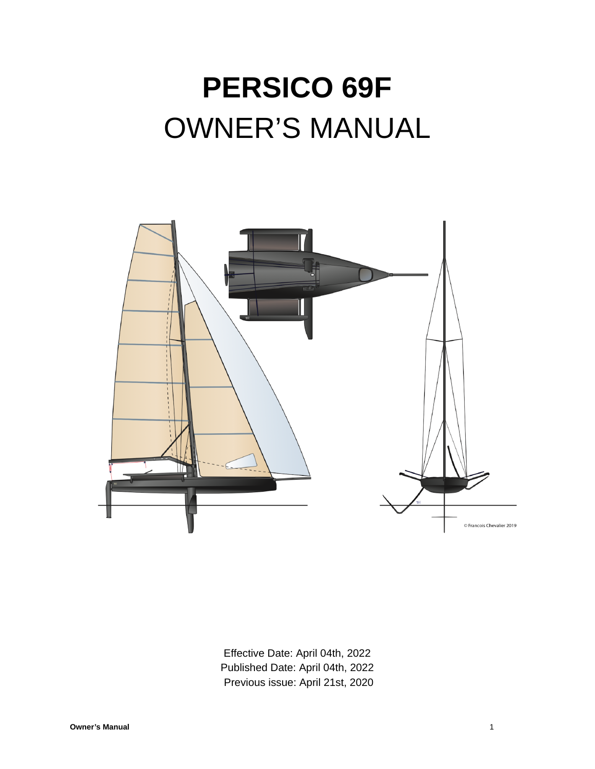# **PERSICO 69F** OWNER'S MANUAL



Effective Date: April 04th, 2022 Published Date: April 04th, 2022 Previous issue: April 21st, 2020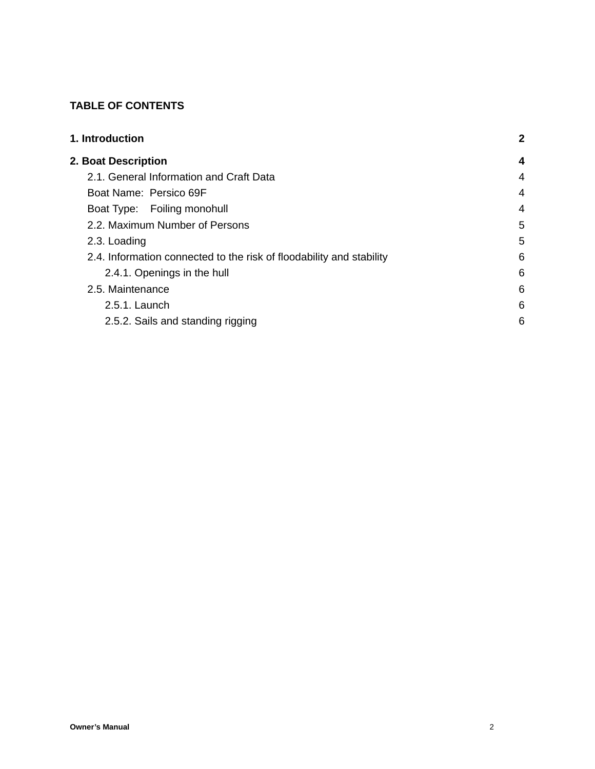## **TABLE OF CONTENTS**

| <b>1. Introduction</b>                                               | $\mathbf{2}$ |
|----------------------------------------------------------------------|--------------|
| <b>2. Boat Description</b>                                           | 4            |
| 2.1. General Information and Craft Data                              | 4            |
| Boat Name: Persico 69F                                               | 4            |
| Boat Type: Foiling monohull                                          | 4            |
| 2.2. Maximum Number of Persons                                       | 5            |
| 2.3. Loading                                                         | 5            |
| 2.4. Information connected to the risk of floodability and stability | 6            |
| 2.4.1. Openings in the hull                                          | 6            |
| 2.5. Maintenance                                                     | 6            |
| 2.5.1. Launch                                                        | 6            |
| 2.5.2. Sails and standing rigging                                    | 6            |
|                                                                      |              |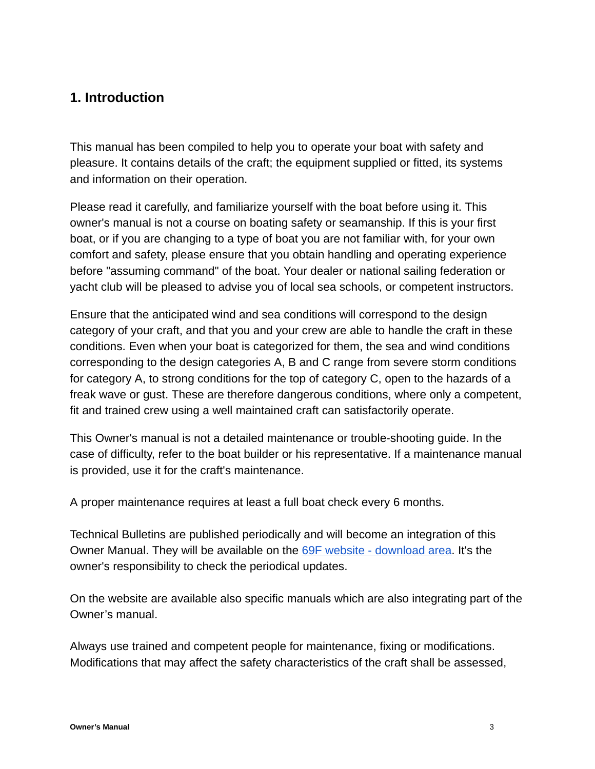## <span id="page-2-0"></span>**1. Introduction**

This manual has been compiled to help you to operate your boat with safety and pleasure. It contains details of the craft; the equipment supplied or fitted, its systems and information on their operation.

Please read it carefully, and familiarize yourself with the boat before using it. This owner's manual is not a course on boating safety or seamanship. If this is your first boat, or if you are changing to a type of boat you are not familiar with, for your own comfort and safety, please ensure that you obtain handling and operating experience before "assuming command" of the boat. Your dealer or national sailing federation or yacht club will be pleased to advise you of local sea schools, or competent instructors.

Ensure that the anticipated wind and sea conditions will correspond to the design category of your craft, and that you and your crew are able to handle the craft in these conditions. Even when your boat is categorized for them, the sea and wind conditions corresponding to the design categories A, B and C range from severe storm conditions for category A, to strong conditions for the top of category C, open to the hazards of a freak wave or gust. These are therefore dangerous conditions, where only a competent, fit and trained crew using a well maintained craft can satisfactorily operate.

This Owner's manual is not a detailed maintenance or trouble-shooting guide. In the case of difficulty, refer to the boat builder or his representative. If a maintenance manual is provided, use it for the craft's maintenance.

A proper maintenance requires at least a full boat check every 6 months.

Technical Bulletins are published periodically and will become an integration of this Owner Manual. They will be available on the [69F website - download area.](https://69fsailing.com/download/) It's the owner's responsibility to check the periodical updates.

On the website are available also specific manuals which are also integrating part of the Owner's manual.

Always use trained and competent people for maintenance, fixing or modifications. Modifications that may affect the safety characteristics of the craft shall be assessed,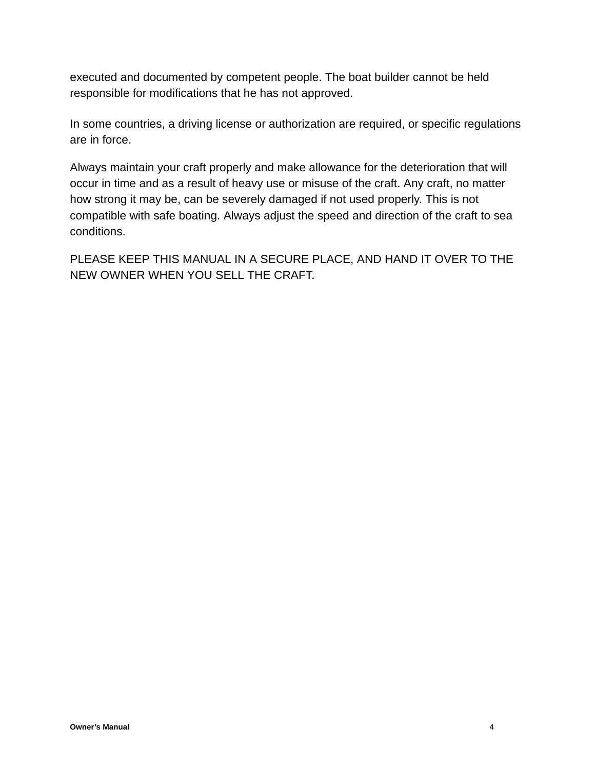executed and documented by competent people. The boat builder cannot be held responsible for modifications that he has not approved.

In some countries, a driving license or authorization are required, or specific regulations are in force.

Always maintain your craft properly and make allowance for the deterioration that will occur in time and as a result of heavy use or misuse of the craft. Any craft, no matter how strong it may be, can be severely damaged if not used properly. This is not compatible with safe boating. Always adjust the speed and direction of the craft to sea conditions.

PLEASE KEEP THIS MANUAL IN A SECURE PLACE, AND HAND IT OVER TO THE NEW OWNER WHEN YOU SELL THE CRAFT.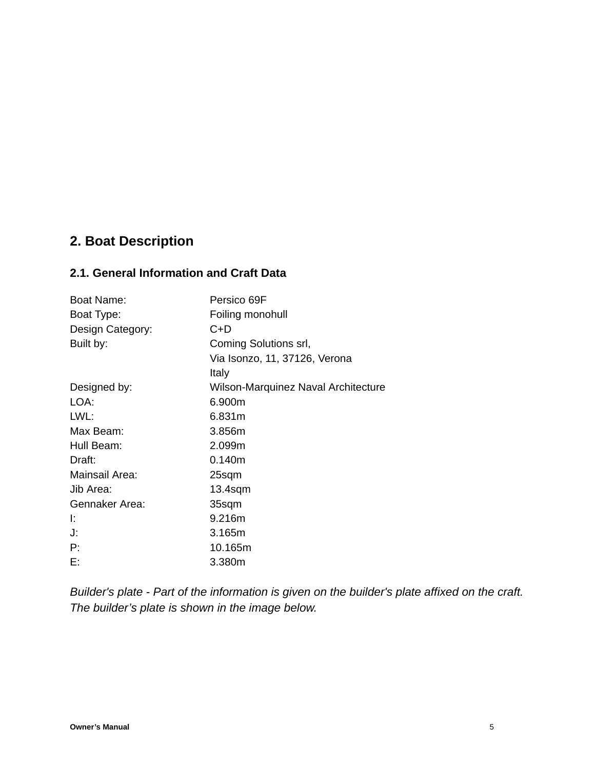## <span id="page-4-0"></span>**2. Boat Description**

## <span id="page-4-1"></span>**2.1. General Information and Craft Data**

| Boat Name:       | Persico 69F                         |
|------------------|-------------------------------------|
| Boat Type:       | Foiling monohull                    |
| Design Category: | $C+D$                               |
| Built by:        | Coming Solutions srl,               |
|                  | Via Isonzo, 11, 37126, Verona       |
|                  | Italy                               |
| Designed by:     | Wilson-Marquinez Naval Architecture |
| LOA:             | 6.900m                              |
| LWL:             | 6.831m                              |
| Max Beam:        | 3.856m                              |
| Hull Beam:       | 2.099m                              |
| Draft:           | 0.140m                              |
| Mainsail Area:   | 25sqm                               |
| Jib Area:        | $13.4$ sqm                          |
| Gennaker Area:   | 35sqm                               |
| Ŀ.               | 9.216m                              |
| J.               | 3.165m                              |
| P:               | 10.165m                             |
| Е:               | 3.380m                              |

*Builder's plate - Part of the information is given on the builder's plate affixed on the craft. The builder's plate is shown in the image below.*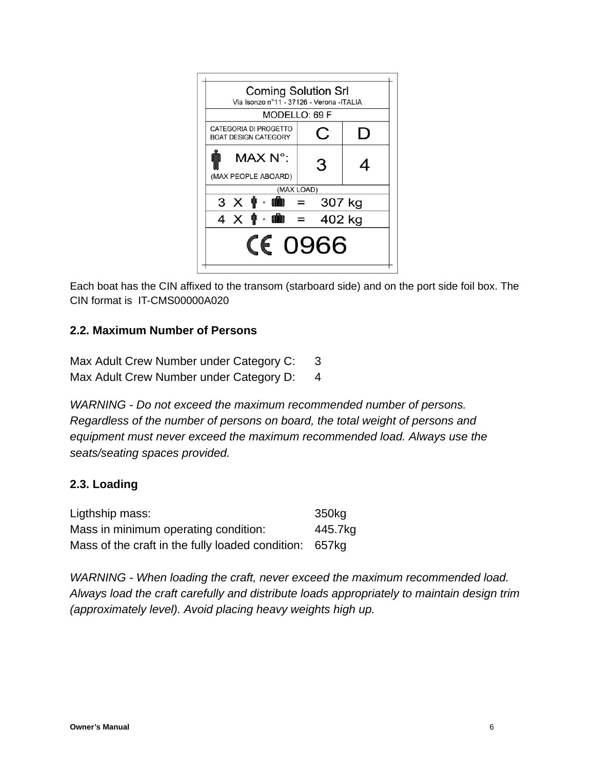

Each boat has the CIN affixed to the transom (starboard side) and on the port side foil box. The CIN format is IT-CMS00000A020

## **2.2. Maximum Number of Persons**

Max Adult Crew Number under Category C: 3 Max Adult Crew Number under Category D: 4

*WARNING - Do not exceed the maximum recommended number of persons. Regardless of the number of persons on board, the total weight of persons and equipment must never exceed the maximum recommended load. Always use the seats/seating spaces provided.*

### <span id="page-5-0"></span>**2.3. Loading**

| Ligthship mass:                                        | 350kg   |
|--------------------------------------------------------|---------|
| Mass in minimum operating condition:                   | 445.7kg |
| Mass of the craft in the fully loaded condition: 657kg |         |

*WARNING - When loading the craft, never exceed the maximum recommended load. Always load the craft carefully and distribute loads appropriately to maintain design trim (approximately level). Avoid placing heavy weights high up.*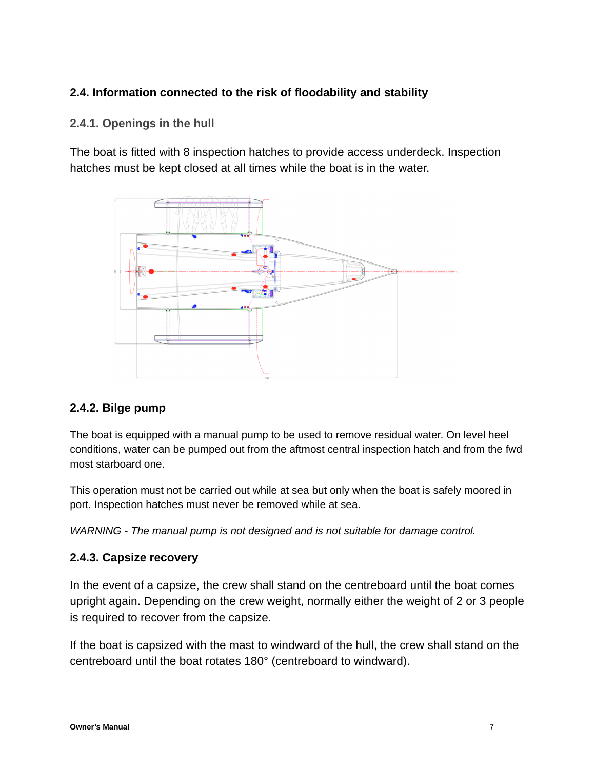## <span id="page-6-0"></span>**2.4. Information connected to the risk of floodability and stability**

## <span id="page-6-1"></span>**2.4.1. Openings in the hull**

The boat is fitted with 8 inspection hatches to provide access underdeck. Inspection hatches must be kept closed at all times while the boat is in the water.



### **2.4.2. Bilge pump**

The boat is equipped with a manual pump to be used to remove residual water. On level heel conditions, water can be pumped out from the aftmost central inspection hatch and from the fwd most starboard one.

This operation must not be carried out while at sea but only when the boat is safely moored in port. Inspection hatches must never be removed while at sea.

*WARNING - The manual pump is not designed and is not suitable for damage control.*

### **2.4.3. Capsize recovery**

In the event of a capsize, the crew shall stand on the centreboard until the boat comes upright again. Depending on the crew weight, normally either the weight of 2 or 3 people is required to recover from the capsize.

If the boat is capsized with the mast to windward of the hull, the crew shall stand on the centreboard until the boat rotates 180° (centreboard to windward).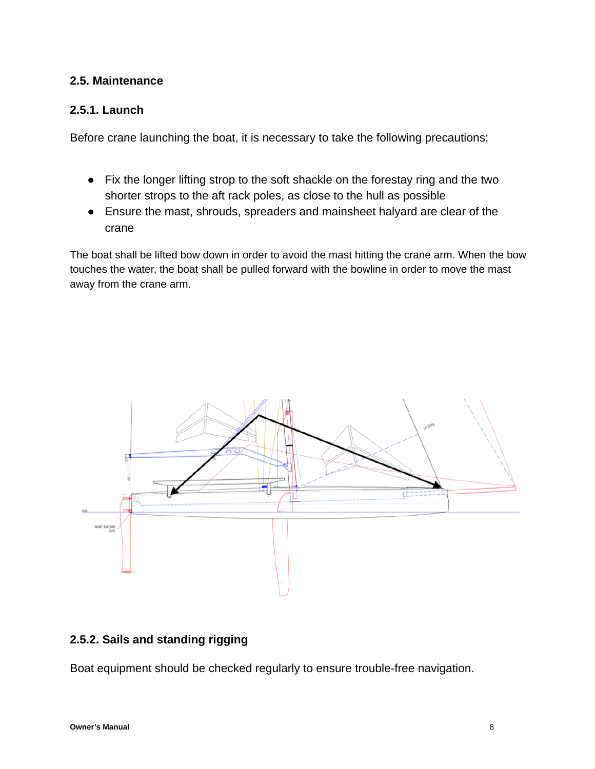### <span id="page-7-0"></span>**2.5. Maintenance**

## <span id="page-7-1"></span>**2.5.1. Launch**

Before crane launching the boat, it is necessary to take the following precautions:

- Fix the longer lifting strop to the soft shackle on the forestay ring and the two shorter strops to the aft rack poles, as close to the hull as possible
- Ensure the mast, shrouds, spreaders and mainsheet halyard are clear of the crane

The boat shall be lifted bow down in order to avoid the mast hitting the crane arm. When the bow touches the water, the boat shall be pulled forward with the bowline in order to move the mast away from the crane arm.



## <span id="page-7-2"></span>**2.5.2. Sails and standing rigging**

Boat equipment should be checked regularly to ensure trouble-free navigation.